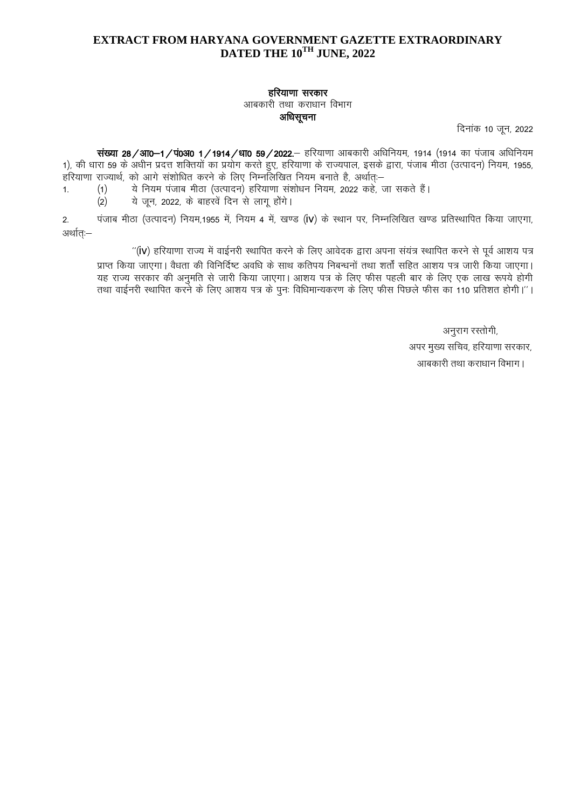## EXTRACT FROM HARYANA GOVERNMENT GAZETTE EXTRAORDINARY DATED THE 10<sup>TH</sup> JUNE, 2022

## हरियाणा सरकार

आबकारी तथा कराधान विभाग

अधिसूचना

दिनांक 10 जून, 2022

संख्या 28/आ0-1/पं0अ0 1/1914/धा0 59/2022.- हरियाणा आबकारी अधिनियम, 1914 (1914 का पंजाब अधिनियम 1), की धारा 59 के अधीन प्रदत्त शक्तियों का प्रयोग करते हुए, हरियाणा के राज्यपाल, इसके द्वारा, पंजाब मीठा (उत्पादन) नियम, 1955, हरियाणा राज्यार्थ, को आगे संशोधित करने के लिए निम्नलिखित नियम बनाते है, अर्थात:--

ये नियम पंजाब मीठा (उत्पादन) हरियाणा संशोधन नियम, 2022 कहे, जा सकते हैं।  $(1)$  $1.$ 

ये जून, 2022, के बाहरवें दिन से लागू होंगे।  $(2)$ 

पंजाब मीठा (उत्पादन) नियम,1955 में, नियम 4 में, खण्ड (IV) के स्थान पर, निम्नलिखित खण्ड प्रतिस्थापित किया जाएगा,  $2.$ अर्थात:–

"(IV) हरियाणा राज्य में वाईनरी स्थापित करने के लिए आवेदक द्वारा अपना संयंत्र स्थापित करने से पूर्व आशय पत्र प्राप्त किया जाएगा। वैधता की विनिर्दिष्ट अवधि के साथ कतिपय निबन्धनों तथा शर्तों सहित आशय पत्र जारी किया जाएगा। यह राज्य सरकार की अनुमति से जारी किया जाएगा। आशय पत्र के लिए फीस पहली बार के लिए एक लाख रूपये होगी तथा वाईनरी स्थापित करने के लिए आशय पत्र के पुनः विधिमान्यकरण के लिए फीस पिछले फीस का 110 प्रतिशत होगी।''।

> अनुराग रस्तोगी, अपर मुख्य सचिव, हरियाणा सरकार, आबकारी तथा कराधान विभाग।